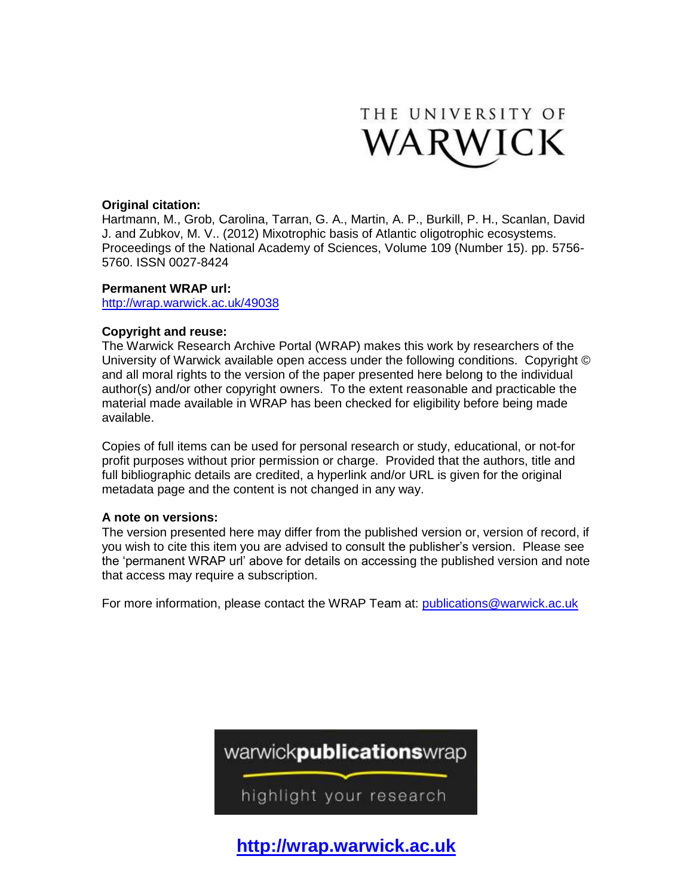

## **Original citation:**

Hartmann, M., Grob, Carolina, Tarran, G. A., Martin, A. P., Burkill, P. H., Scanlan, David J. and Zubkov, M. V.. (2012) Mixotrophic basis of Atlantic oligotrophic ecosystems. Proceedings of the National Academy of Sciences, Volume 109 (Number 15). pp. 5756- 5760. ISSN 0027-8424

#### **Permanent WRAP url:**

<http://wrap.warwick.ac.uk/49038>

## **Copyright and reuse:**

The Warwick Research Archive Portal (WRAP) makes this work by researchers of the University of Warwick available open access under the following conditions. Copyright © and all moral rights to the version of the paper presented here belong to the individual author(s) and/or other copyright owners. To the extent reasonable and practicable the material made available in WRAP has been checked for eligibility before being made available.

Copies of full items can be used for personal research or study, educational, or not-for profit purposes without prior permission or charge. Provided that the authors, title and full bibliographic details are credited, a hyperlink and/or URL is given for the original metadata page and the content is not changed in any way.

## **A note on versions:**

The version presented here may differ from the published version or, version of record, if you wish to cite this item you are advised to consult the publisher's version. Please see the 'permanent WRAP url' above for details on accessing the published version and note that access may require a subscription.

For more information, please contact the WRAP Team at: [publications@warwick.ac.uk](mailto:publications@warwick.ac.uk)



**[http://wrap.warwick.ac.uk](http://wrap.warwick.ac.uk/)**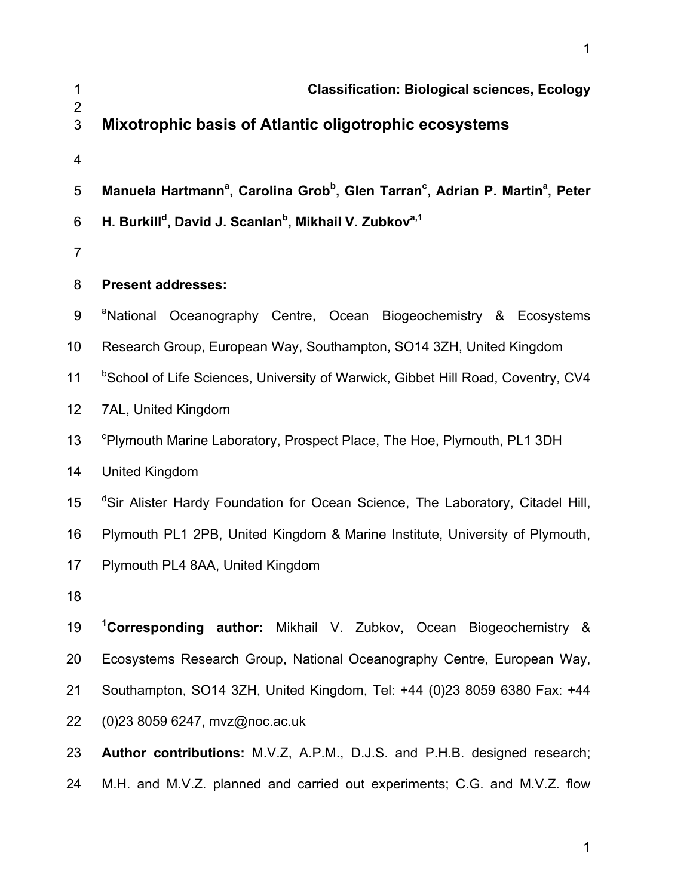| 1<br>$\overline{2}$     | <b>Classification: Biological sciences, Ecology</b>                                                                           |
|-------------------------|-------------------------------------------------------------------------------------------------------------------------------|
| 3                       | Mixotrophic basis of Atlantic oligotrophic ecosystems                                                                         |
| $\overline{\mathbf{4}}$ |                                                                                                                               |
| 5                       | Manuela Hartmann <sup>a</sup> , Carolina Grob <sup>b</sup> , Glen Tarran <sup>c</sup> , Adrian P. Martin <sup>a</sup> , Peter |
| $6\phantom{1}$          | H. Burkill <sup>d</sup> , David J. Scanlan <sup>b</sup> , Mikhail V. Zubkov <sup>a,1</sup>                                    |
| $\overline{7}$          |                                                                                                                               |
| 8                       | <b>Present addresses:</b>                                                                                                     |
| $9\,$                   | <sup>a</sup> National Oceanography Centre, Ocean Biogeochemistry & Ecosystems                                                 |
| 10                      | Research Group, European Way, Southampton, SO14 3ZH, United Kingdom                                                           |
| 11                      | <sup>b</sup> School of Life Sciences, University of Warwick, Gibbet Hill Road, Coventry, CV4                                  |
| 12                      | 7AL, United Kingdom                                                                                                           |
| 13                      | <sup>c</sup> Plymouth Marine Laboratory, Prospect Place, The Hoe, Plymouth, PL1 3DH                                           |
| 14                      | <b>United Kingdom</b>                                                                                                         |
| 15                      | <sup>d</sup> Sir Alister Hardy Foundation for Ocean Science, The Laboratory, Citadel Hill,                                    |
| 16                      | Plymouth PL1 2PB, United Kingdom & Marine Institute, University of Plymouth,                                                  |
| 17                      | Plymouth PL4 8AA, United Kingdom                                                                                              |
| 18                      |                                                                                                                               |
| 19                      | <sup>1</sup> Corresponding author: Mikhail V. Zubkov, Ocean Biogeochemistry &                                                 |
| 20                      | Ecosystems Research Group, National Oceanography Centre, European Way,                                                        |
| 21                      | Southampton, SO14 3ZH, United Kingdom, Tel: +44 (0)23 8059 6380 Fax: +44                                                      |
| 22                      | (0)23 8059 6247, mvz@noc.ac.uk                                                                                                |
| 23                      | Author contributions: M.V.Z, A.P.M., D.J.S. and P.H.B. designed research;                                                     |
| 24                      | M.H. and M.V.Z. planned and carried out experiments; C.G. and M.V.Z. flow                                                     |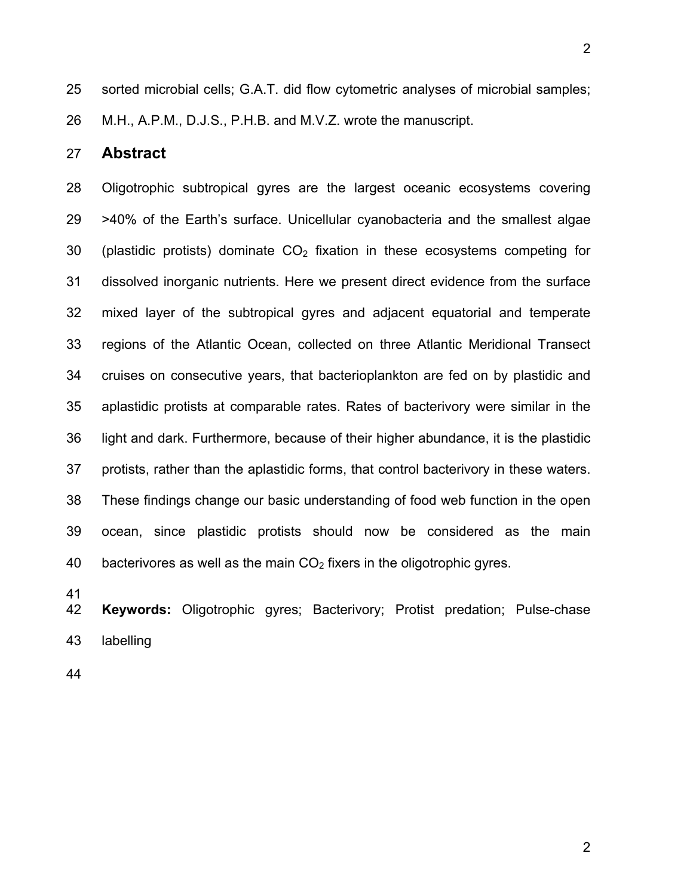2

25 sorted microbial cells; G.A.T. did flow cytometric analyses of microbial samples; 26 M.H., A.P.M., D.J.S., P.H.B. and M.V.Z. wrote the manuscript.

## 27 **Abstract**

28 Oligotrophic subtropical gyres are the largest oceanic ecosystems covering 29 >40% of the Earth's surface. Unicellular cyanobacteria and the smallest algae 30 (plastidic protists) dominate  $CO<sub>2</sub>$  fixation in these ecosystems competing for 31 dissolved inorganic nutrients. Here we present direct evidence from the surface 32 mixed layer of the subtropical gyres and adjacent equatorial and temperate 33 regions of the Atlantic Ocean, collected on three Atlantic Meridional Transect 34 cruises on consecutive years, that bacterioplankton are fed on by plastidic and 35 aplastidic protists at comparable rates. Rates of bacterivory were similar in the 36 light and dark. Furthermore, because of their higher abundance, it is the plastidic 37 protists, rather than the aplastidic forms, that control bacterivory in these waters. 38 These findings change our basic understanding of food web function in the open 39 ocean, since plastidic protists should now be considered as the main 40 bacterivores as well as the main  $CO<sub>2</sub>$  fixers in the oligotrophic gyres.

41

42 **Keywords:** Oligotrophic gyres; Bacterivory; Protist predation; Pulse-chase 43 labelling

44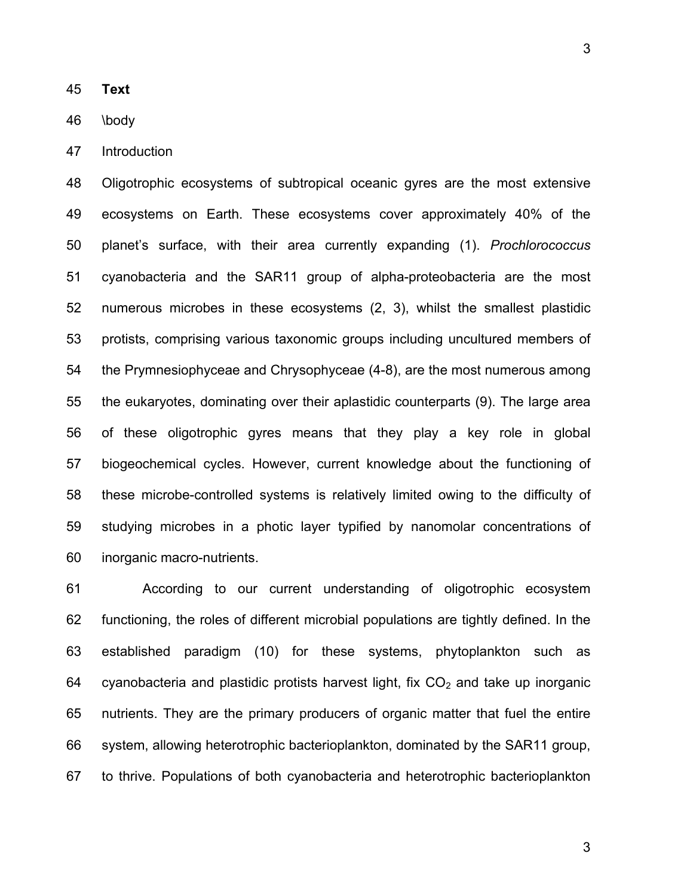45 **Text**

46 \body

47 Introduction

48 Oligotrophic ecosystems of subtropical oceanic gyres are the most extensive 49 ecosystems on Earth. These ecosystems cover approximately 40% of the 50 planet's surface, with their area currently expanding (1). *Prochlorococcus* 51 cyanobacteria and the SAR11 group of alpha-proteobacteria are the most 52 numerous microbes in these ecosystems (2, 3), whilst the smallest plastidic 53 protists, comprising various taxonomic groups including uncultured members of 54 the Prymnesiophyceae and Chrysophyceae (4-8), are the most numerous among 55 the eukaryotes, dominating over their aplastidic counterparts (9). The large area 56 of these oligotrophic gyres means that they play a key role in global 57 biogeochemical cycles. However, current knowledge about the functioning of 58 these microbe-controlled systems is relatively limited owing to the difficulty of 59 studying microbes in a photic layer typified by nanomolar concentrations of 60 inorganic macro-nutrients.

61 According to our current understanding of oligotrophic ecosystem 62 functioning, the roles of different microbial populations are tightly defined. In the 63 established paradigm (10) for these systems, phytoplankton such as 64 cyanobacteria and plastidic protists harvest light, fix  $CO<sub>2</sub>$  and take up inorganic 65 nutrients. They are the primary producers of organic matter that fuel the entire 66 system, allowing heterotrophic bacterioplankton, dominated by the SAR11 group, 67 to thrive. Populations of both cyanobacteria and heterotrophic bacterioplankton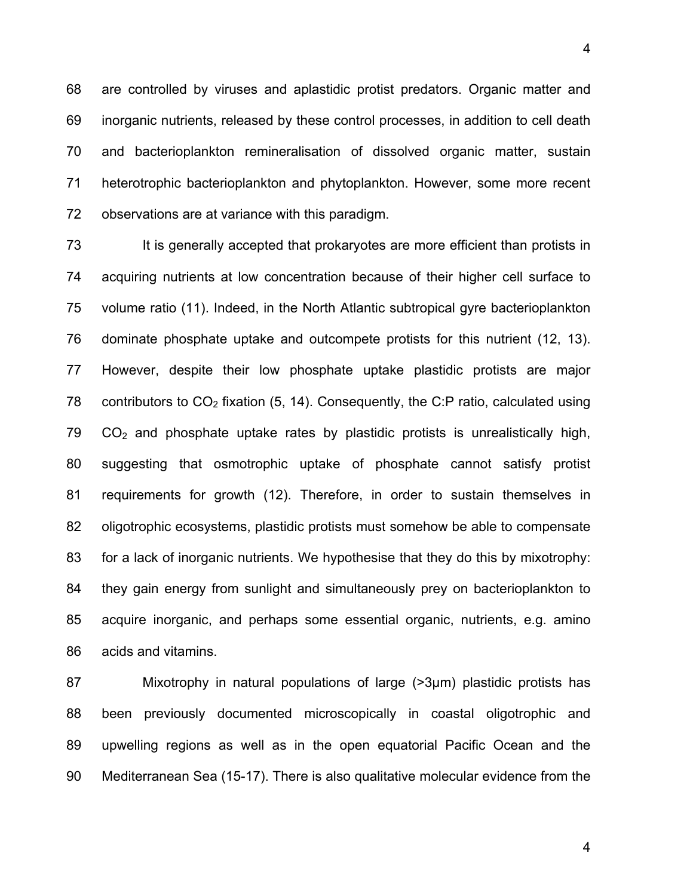68 are controlled by viruses and aplastidic protist predators. Organic matter and 69 inorganic nutrients, released by these control processes, in addition to cell death 70 and bacterioplankton remineralisation of dissolved organic matter, sustain 71 heterotrophic bacterioplankton and phytoplankton. However, some more recent 72 observations are at variance with this paradigm.

73 It is generally accepted that prokaryotes are more efficient than protists in 74 acquiring nutrients at low concentration because of their higher cell surface to 75 volume ratio (11). Indeed, in the North Atlantic subtropical gyre bacterioplankton 76 dominate phosphate uptake and outcompete protists for this nutrient (12, 13). 77 However, despite their low phosphate uptake plastidic protists are major 78 contributors to  $CO<sub>2</sub>$  fixation (5, 14). Consequently, the C:P ratio, calculated using  $79$   $CO<sub>2</sub>$  and phosphate uptake rates by plastidic protists is unrealistically high, 80 suggesting that osmotrophic uptake of phosphate cannot satisfy protist 81 requirements for growth (12). Therefore, in order to sustain themselves in 82 oligotrophic ecosystems, plastidic protists must somehow be able to compensate 83 for a lack of inorganic nutrients. We hypothesise that they do this by mixotrophy: 84 they gain energy from sunlight and simultaneously prey on bacterioplankton to 85 acquire inorganic, and perhaps some essential organic, nutrients, e.g. amino 86 acids and vitamins.

87 Mixotrophy in natural populations of large (>3µm) plastidic protists has 88 been previously documented microscopically in coastal oligotrophic and 89 upwelling regions as well as in the open equatorial Pacific Ocean and the 90 Mediterranean Sea (15-17). There is also qualitative molecular evidence from the

4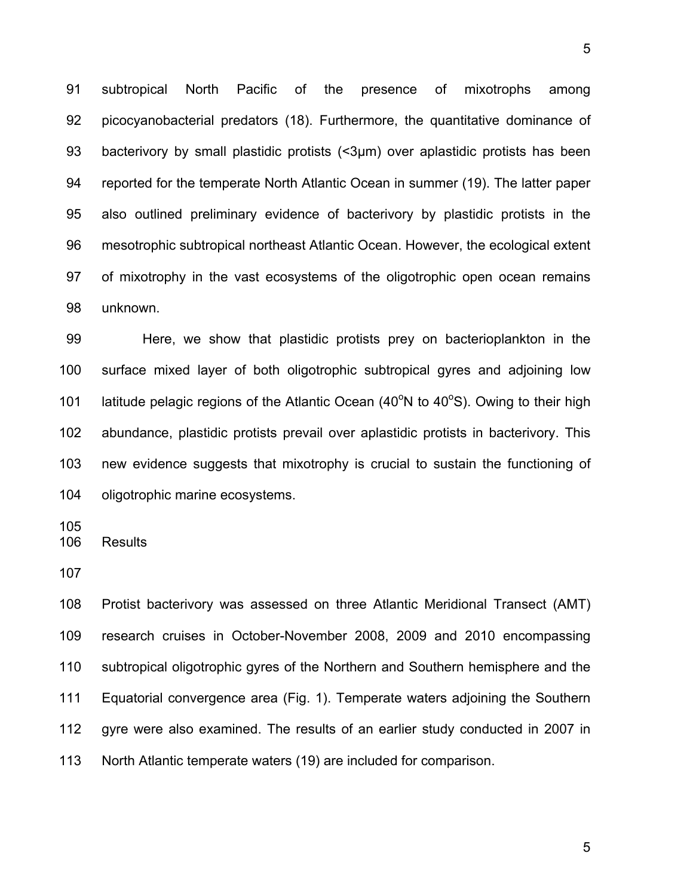91 subtropical North Pacific of the presence of mixotrophs among 92 picocyanobacterial predators (18). Furthermore, the quantitative dominance of 93 bacterivory by small plastidic protists (<3µm) over aplastidic protists has been 94 reported for the temperate North Atlantic Ocean in summer (19). The latter paper 95 also outlined preliminary evidence of bacterivory by plastidic protists in the 96 mesotrophic subtropical northeast Atlantic Ocean. However, the ecological extent 97 of mixotrophy in the vast ecosystems of the oligotrophic open ocean remains 98 unknown.

99 Here, we show that plastidic protists prey on bacterioplankton in the 100 surface mixed layer of both oligotrophic subtropical gyres and adjoining low 101 latitude pelagic regions of the Atlantic Ocean  $(40^{\circ}N$  to  $40^{\circ}S)$ . Owing to their high 102 abundance, plastidic protists prevail over aplastidic protists in bacterivory. This 103 new evidence suggests that mixotrophy is crucial to sustain the functioning of 104 oligotrophic marine ecosystems.

105

106 Results

107

108 Protist bacterivory was assessed on three Atlantic Meridional Transect (AMT) 109 research cruises in October-November 2008, 2009 and 2010 encompassing 110 subtropical oligotrophic gyres of the Northern and Southern hemisphere and the 111 Equatorial convergence area (Fig. 1). Temperate waters adjoining the Southern 112 gyre were also examined. The results of an earlier study conducted in 2007 in 113 North Atlantic temperate waters (19) are included for comparison.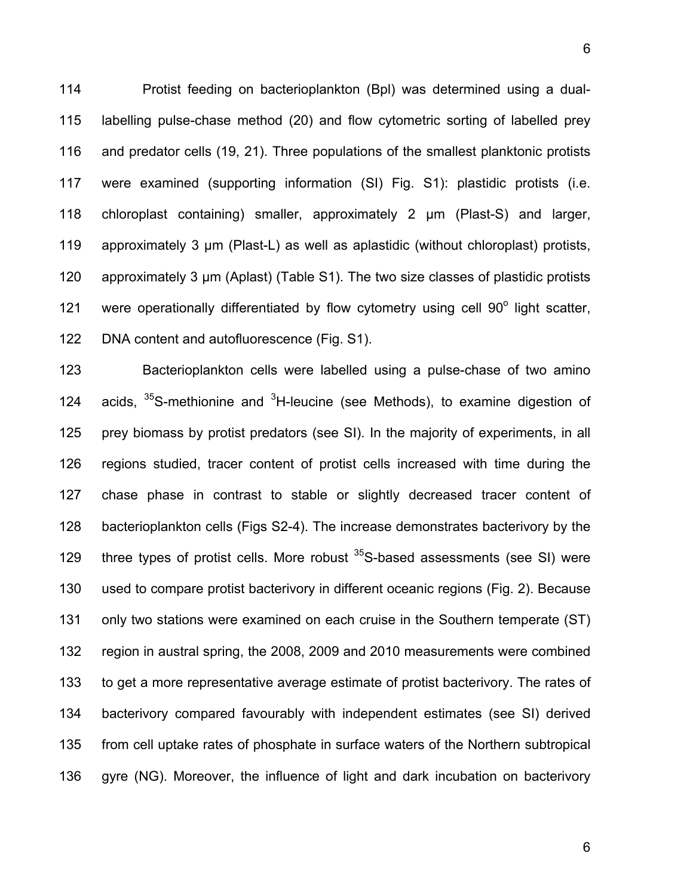114 Protist feeding on bacterioplankton (Bpl) was determined using a dual-115 labelling pulse-chase method (20) and flow cytometric sorting of labelled prey 116 and predator cells (19, 21). Three populations of the smallest planktonic protists 117 were examined (supporting information (SI) Fig. S1): plastidic protists (i.e. 118 chloroplast containing) smaller, approximately 2 µm (Plast-S) and larger, 119 approximately 3  $\mu$ m (Plast-L) as well as aplastidic (without chloroplast) protists, 120 approximately 3 µm (Aplast) (Table S1). The two size classes of plastidic protists 121 were operationally differentiated by flow cytometry using cell  $90^\circ$  light scatter, 122 DNA content and autofluorescence (Fig. S1).

123 Bacterioplankton cells were labelled using a pulse-chase of two amino 124 acids,  $35S$ -methionine and  $3H$ -leucine (see Methods), to examine digestion of 125 prey biomass by protist predators (see SI). In the majority of experiments, in all 126 regions studied, tracer content of protist cells increased with time during the 127 chase phase in contrast to stable or slightly decreased tracer content of 128 bacterioplankton cells (Figs S2-4). The increase demonstrates bacterivory by the 129 three types of protist cells. More robust  $35S$ -based assessments (see SI) were 130 used to compare protist bacterivory in different oceanic regions (Fig. 2). Because 131 only two stations were examined on each cruise in the Southern temperate (ST) 132 region in austral spring, the 2008, 2009 and 2010 measurements were combined 133 to get a more representative average estimate of protist bacterivory. The rates of 134 bacterivory compared favourably with independent estimates (see SI) derived 135 from cell uptake rates of phosphate in surface waters of the Northern subtropical 136 gyre (NG). Moreover, the influence of light and dark incubation on bacterivory

6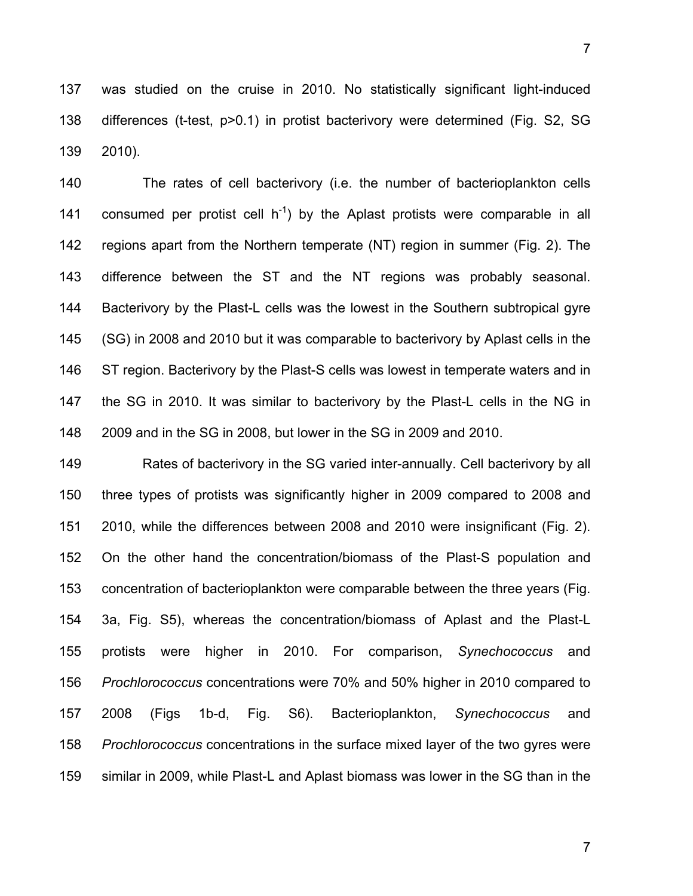137 was studied on the cruise in 2010. No statistically significant light-induced 138 differences (t-test, p>0.1) in protist bacterivory were determined (Fig. S2, SG 139 2010).

140 The rates of cell bacterivory (i.e. the number of bacterioplankton cells 141 consumed per protist cell  $h^{-1}$ ) by the Aplast protists were comparable in all 142 regions apart from the Northern temperate (NT) region in summer (Fig. 2). The 143 difference between the ST and the NT regions was probably seasonal. 144 Bacterivory by the Plast-L cells was the lowest in the Southern subtropical gyre 145 (SG) in 2008 and 2010 but it was comparable to bacterivory by Aplast cells in the 146 ST region. Bacterivory by the Plast-S cells was lowest in temperate waters and in 147 the SG in 2010. It was similar to bacterivory by the Plast-L cells in the NG in 148 2009 and in the SG in 2008, but lower in the SG in 2009 and 2010.

149 Rates of bacterivory in the SG varied inter-annually. Cell bacterivory by all 150 three types of protists was significantly higher in 2009 compared to 2008 and 151 2010, while the differences between 2008 and 2010 were insignificant (Fig. 2). 152 On the other hand the concentration/biomass of the Plast-S population and 153 concentration of bacterioplankton were comparable between the three years (Fig. 154 3a, Fig. S5), whereas the concentration/biomass of Aplast and the Plast-L 155 protists were higher in 2010. For comparison, *Synechococcus* and 156 *Prochlorococcus* concentrations were 70% and 50% higher in 2010 compared to 157 2008 (Figs 1b-d, Fig. S6). Bacterioplankton, *Synechococcus* and 158 *Prochlorococcus* concentrations in the surface mixed layer of the two gyres were 159 similar in 2009, while Plast-L and Aplast biomass was lower in the SG than in the

7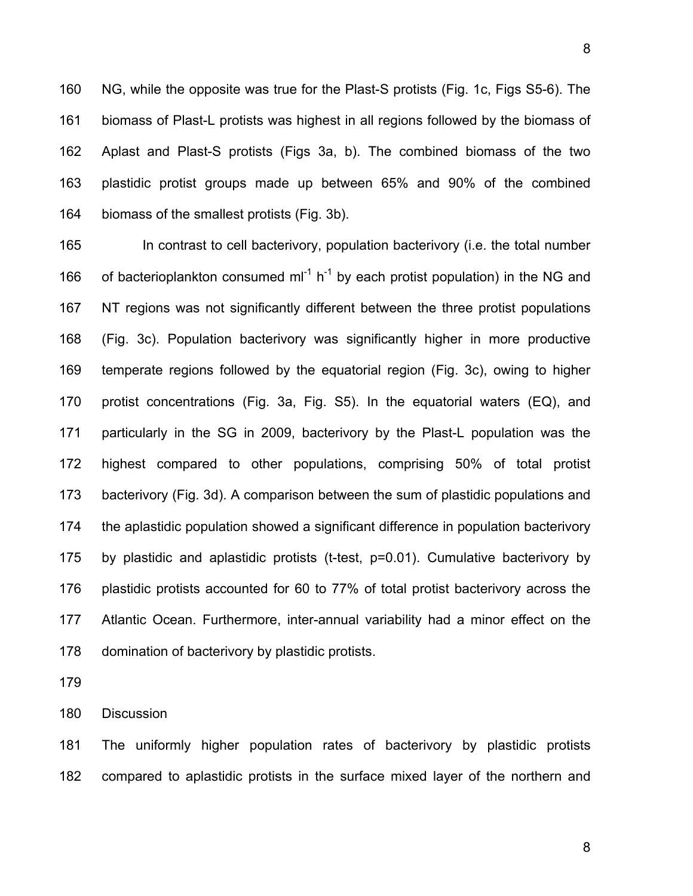160 NG, while the opposite was true for the Plast-S protists (Fig. 1c, Figs S5-6). The 161 biomass of Plast-L protists was highest in all regions followed by the biomass of 162 Aplast and Plast-S protists (Figs 3a, b). The combined biomass of the two 163 plastidic protist groups made up between 65% and 90% of the combined 164 biomass of the smallest protists (Fig. 3b).

165 In contrast to cell bacterivory, population bacterivory (i.e. the total number 166 of bacterioplankton consumed ml<sup>-1</sup> h<sup>-1</sup> by each protist population) in the NG and 167 NT regions was not significantly different between the three protist populations 168 (Fig. 3c). Population bacterivory was significantly higher in more productive 169 temperate regions followed by the equatorial region (Fig. 3c), owing to higher 170 protist concentrations (Fig. 3a, Fig. S5). In the equatorial waters (EQ), and 171 particularly in the SG in 2009, bacterivory by the Plast-L population was the 172 highest compared to other populations, comprising 50% of total protist 173 bacterivory (Fig. 3d). A comparison between the sum of plastidic populations and 174 the aplastidic population showed a significant difference in population bacterivory 175 by plastidic and aplastidic protists (t-test, p=0.01). Cumulative bacterivory by 176 plastidic protists accounted for 60 to 77% of total protist bacterivory across the 177 Atlantic Ocean. Furthermore, inter-annual variability had a minor effect on the 178 domination of bacterivory by plastidic protists.

179

180 Discussion

181 The uniformly higher population rates of bacterivory by plastidic protists 182 compared to aplastidic protists in the surface mixed layer of the northern and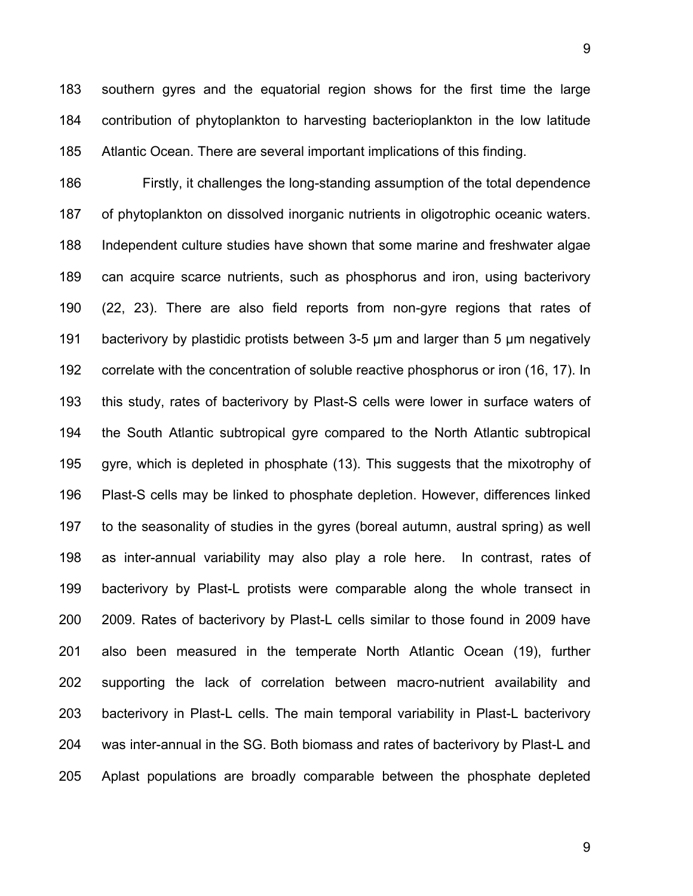183 southern gyres and the equatorial region shows for the first time the large 184 contribution of phytoplankton to harvesting bacterioplankton in the low latitude 185 Atlantic Ocean. There are several important implications of this finding.

186 Firstly, it challenges the long-standing assumption of the total dependence 187 of phytoplankton on dissolved inorganic nutrients in oligotrophic oceanic waters. 188 Independent culture studies have shown that some marine and freshwater algae 189 can acquire scarce nutrients, such as phosphorus and iron, using bacterivory 190 (22, 23). There are also field reports from non-gyre regions that rates of 191 bacterivory by plastidic protists between 3-5 µm and larger than 5 µm negatively 192 correlate with the concentration of soluble reactive phosphorus or iron (16, 17). In 193 this study, rates of bacterivory by Plast-S cells were lower in surface waters of 194 the South Atlantic subtropical gyre compared to the North Atlantic subtropical 195 gyre, which is depleted in phosphate (13). This suggests that the mixotrophy of 196 Plast-S cells may be linked to phosphate depletion. However, differences linked 197 to the seasonality of studies in the gyres (boreal autumn, austral spring) as well 198 as inter-annual variability may also play a role here. In contrast, rates of 199 bacterivory by Plast-L protists were comparable along the whole transect in 200 2009. Rates of bacterivory by Plast-L cells similar to those found in 2009 have 201 also been measured in the temperate North Atlantic Ocean (19), further 202 supporting the lack of correlation between macro-nutrient availability and 203 bacterivory in Plast-L cells. The main temporal variability in Plast-L bacterivory 204 was inter-annual in the SG. Both biomass and rates of bacterivory by Plast-L and 205 Aplast populations are broadly comparable between the phosphate depleted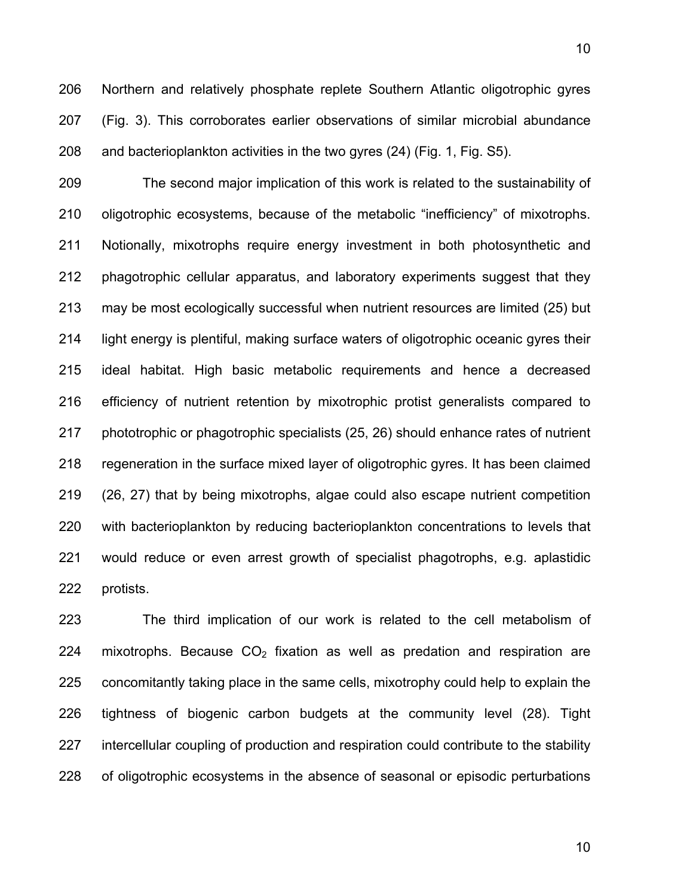206 Northern and relatively phosphate replete Southern Atlantic oligotrophic gyres 207 (Fig. 3). This corroborates earlier observations of similar microbial abundance 208 and bacterioplankton activities in the two gyres (24) (Fig. 1, Fig. S5).

209 The second major implication of this work is related to the sustainability of 210 oligotrophic ecosystems, because of the metabolic "inefficiency" of mixotrophs. 211 Notionally, mixotrophs require energy investment in both photosynthetic and 212 phagotrophic cellular apparatus, and laboratory experiments suggest that they 213 may be most ecologically successful when nutrient resources are limited (25) but 214 light energy is plentiful, making surface waters of oligotrophic oceanic gyres their 215 ideal habitat. High basic metabolic requirements and hence a decreased 216 efficiency of nutrient retention by mixotrophic protist generalists compared to 217 phototrophic or phagotrophic specialists (25, 26) should enhance rates of nutrient 218 regeneration in the surface mixed layer of oligotrophic gyres. It has been claimed 219 (26, 27) that by being mixotrophs, algae could also escape nutrient competition 220 with bacterioplankton by reducing bacterioplankton concentrations to levels that 221 would reduce or even arrest growth of specialist phagotrophs, e.g. aplastidic 222 protists.

223 The third implication of our work is related to the cell metabolism of 224 mixotrophs. Because  $CO<sub>2</sub>$  fixation as well as predation and respiration are 225 concomitantly taking place in the same cells, mixotrophy could help to explain the 226 tightness of biogenic carbon budgets at the community level (28). Tight 227 intercellular coupling of production and respiration could contribute to the stability 228 of oligotrophic ecosystems in the absence of seasonal or episodic perturbations

10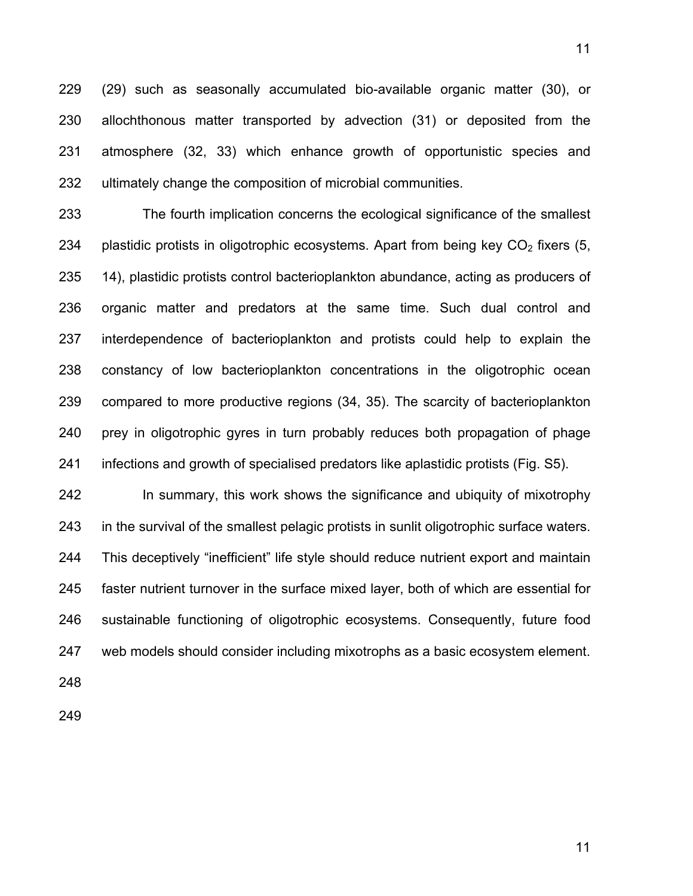229 (29) such as seasonally accumulated bio-available organic matter (30), or 230 allochthonous matter transported by advection (31) or deposited from the 231 atmosphere (32, 33) which enhance growth of opportunistic species and 232 ultimately change the composition of microbial communities.

233 The fourth implication concerns the ecological significance of the smallest 234 plastidic protists in oligotrophic ecosystems. Apart from being key  $CO<sub>2</sub>$  fixers (5, 235 14), plastidic protists control bacterioplankton abundance, acting as producers of 236 organic matter and predators at the same time. Such dual control and 237 interdependence of bacterioplankton and protists could help to explain the 238 constancy of low bacterioplankton concentrations in the oligotrophic ocean 239 compared to more productive regions (34, 35). The scarcity of bacterioplankton 240 prey in oligotrophic gyres in turn probably reduces both propagation of phage 241 infections and growth of specialised predators like aplastidic protists (Fig. S5).

242 In summary, this work shows the significance and ubiquity of mixotrophy 243 in the survival of the smallest pelagic protists in sunlit oligotrophic surface waters. 244 This deceptively "inefficient" life style should reduce nutrient export and maintain 245 faster nutrient turnover in the surface mixed layer, both of which are essential for 246 sustainable functioning of oligotrophic ecosystems. Consequently, future food 247 web models should consider including mixotrophs as a basic ecosystem element.

248

249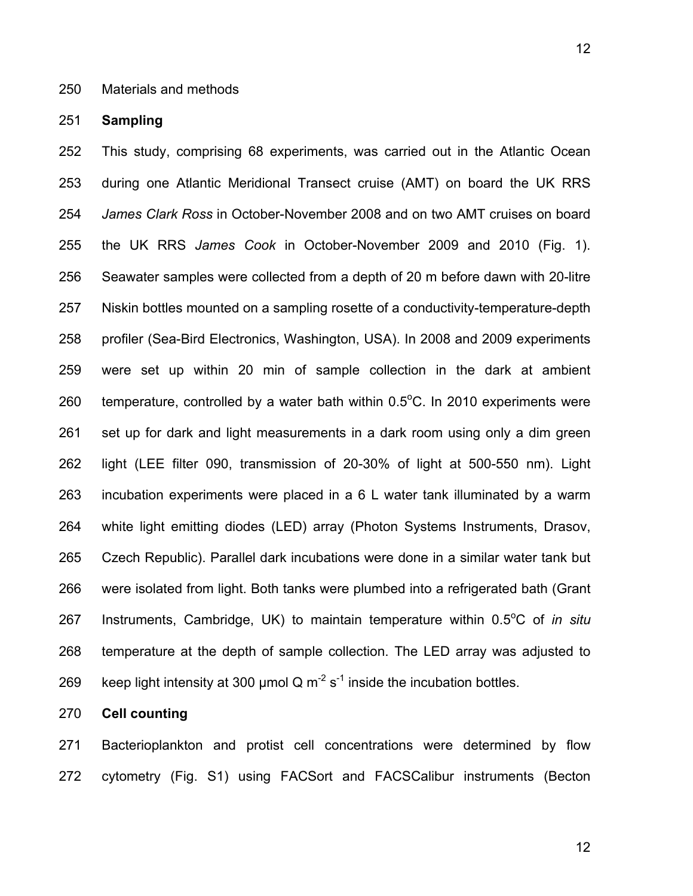## 250 Materials and methods

#### 251 **Sampling**

252 This study, comprising 68 experiments, was carried out in the Atlantic Ocean 253 during one Atlantic Meridional Transect cruise (AMT) on board the UK RRS 254 *James Clark Ross* in October-November 2008 and on two AMT cruises on board 255 the UK RRS *James Cook* in October-November 2009 and 2010 (Fig. 1). 256 Seawater samples were collected from a depth of 20 m before dawn with 20-litre 257 Niskin bottles mounted on a sampling rosette of a conductivity-temperature-depth 258 profiler (Sea-Bird Electronics, Washington, USA). In 2008 and 2009 experiments 259 were set up within 20 min of sample collection in the dark at ambient 260 temperature, controlled by a water bath within  $0.5^{\circ}$ C. In 2010 experiments were 261 set up for dark and light measurements in a dark room using only a dim green 262 light (LEE filter 090, transmission of 20-30% of light at 500-550 nm). Light 263 incubation experiments were placed in a 6 L water tank illuminated by a warm 264 white light emitting diodes (LED) array (Photon Systems Instruments, Drasov, 265 Czech Republic). Parallel dark incubations were done in a similar water tank but 266 were isolated from light. Both tanks were plumbed into a refrigerated bath (Grant 267 Instruments, Cambridge, UK) to maintain temperature within 0.5<sup>o</sup>C of *in situ* 268 temperature at the depth of sample collection. The LED array was adjusted to 269 keep light intensity at 300 µmol Q  $m^{-2}$  s<sup>-1</sup> inside the incubation bottles.

# 270 **Cell counting**

271 Bacterioplankton and protist cell concentrations were determined by flow 272 cytometry (Fig. S1) using FACSort and FACSCalibur instruments (Becton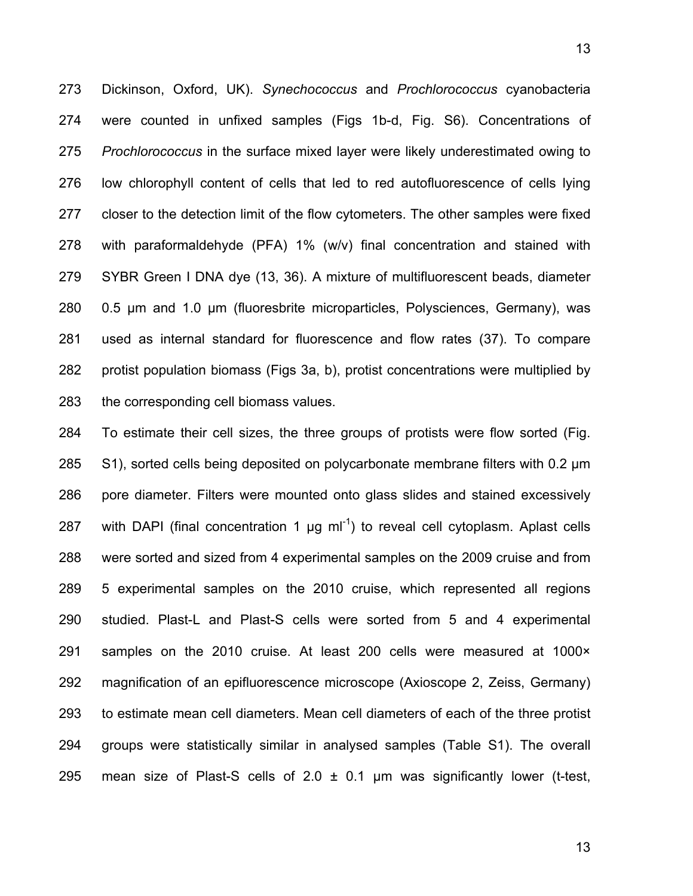273 Dickinson, Oxford, UK). *Synechococcus* and *Prochlorococcus* cyanobacteria 274 were counted in unfixed samples (Figs 1b-d, Fig. S6). Concentrations of 275 *Prochlorococcus* in the surface mixed layer were likely underestimated owing to 276 low chlorophyll content of cells that led to red autofluorescence of cells lying 277 closer to the detection limit of the flow cytometers. The other samples were fixed 278 with paraformaldehyde (PFA) 1% (w/v) final concentration and stained with 279 SYBR Green I DNA dye (13, 36). A mixture of multifluorescent beads, diameter 280 0.5 µm and 1.0 µm (fluoresbrite microparticles, Polysciences, Germany), was 281 used as internal standard for fluorescence and flow rates (37). To compare 282 protist population biomass (Figs 3a, b), protist concentrations were multiplied by 283 the corresponding cell biomass values.

284 To estimate their cell sizes, the three groups of protists were flow sorted (Fig. 285 S1), sorted cells being deposited on polycarbonate membrane filters with 0.2 µm 286 pore diameter. Filters were mounted onto glass slides and stained excessively 287 with DAPI (final concentration 1  $\mu$ g ml<sup>-1</sup>) to reveal cell cytoplasm. Aplast cells 288 were sorted and sized from 4 experimental samples on the 2009 cruise and from 289 5 experimental samples on the 2010 cruise, which represented all regions 290 studied. Plast-L and Plast-S cells were sorted from 5 and 4 experimental 291 samples on the 2010 cruise. At least 200 cells were measured at 1000× 292 magnification of an epifluorescence microscope (Axioscope 2, Zeiss, Germany) 293 to estimate mean cell diameters. Mean cell diameters of each of the three protist 294 groups were statistically similar in analysed samples (Table S1). The overall 295 mean size of Plast-S cells of 2.0  $\pm$  0.1 µm was significantly lower (t-test,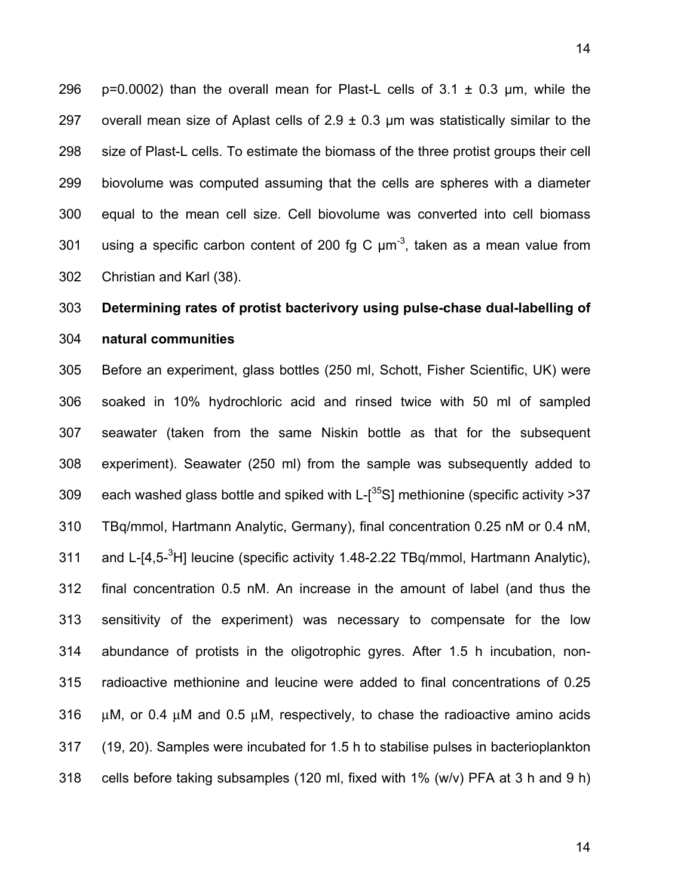296 p=0.0002) than the overall mean for Plast-L cells of  $3.1 \pm 0.3$  µm, while the 297 overall mean size of Aplast cells of  $2.9 \pm 0.3$  µm was statistically similar to the 298 size of Plast-L cells. To estimate the biomass of the three protist groups their cell 299 biovolume was computed assuming that the cells are spheres with a diameter 300 equal to the mean cell size. Cell biovolume was converted into cell biomass 301 using a specific carbon content of 200 fg C  $\mu$ m<sup>-3</sup>, taken as a mean value from 302 Christian and Karl (38).

# 303 **Determining rates of protist bacterivory using pulse-chase dual-labelling of**

# 304 **natural communities**

305 Before an experiment, glass bottles (250 ml, Schott, Fisher Scientific, UK) were 306 soaked in 10% hydrochloric acid and rinsed twice with 50 ml of sampled 307 seawater (taken from the same Niskin bottle as that for the subsequent 308 experiment). Seawater (250 ml) from the sample was subsequently added to 309 each washed glass bottle and spiked with L- $[35S]$  methionine (specific activity >37 310 TBq/mmol, Hartmann Analytic, Germany), final concentration 0.25 nM or 0.4 nM, 311 and L-[4,5<sup>-3</sup>H] leucine (specific activity 1.48-2.22 TBq/mmol, Hartmann Analytic), 312 final concentration 0.5 nM. An increase in the amount of label (and thus the 313 sensitivity of the experiment) was necessary to compensate for the low 314 abundance of protists in the oligotrophic gyres. After 1.5 h incubation, non-315 radioactive methionine and leucine were added to final concentrations of 0.25 316  $\mu$ M, or 0.4  $\mu$ M and 0.5  $\mu$ M, respectively, to chase the radioactive amino acids 317 (19, 20). Samples were incubated for 1.5 h to stabilise pulses in bacterioplankton 318 cells before taking subsamples (120 ml, fixed with 1% (w/v) PFA at 3 h and 9 h)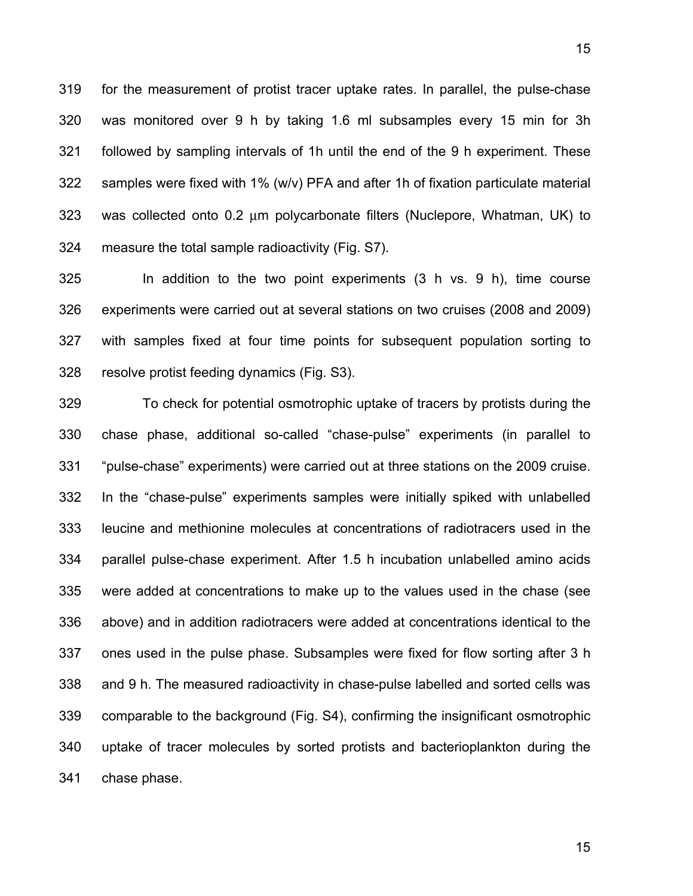319 for the measurement of protist tracer uptake rates. In parallel, the pulse-chase 320 was monitored over 9 h by taking 1.6 ml subsamples every 15 min for 3h 321 followed by sampling intervals of 1h until the end of the 9 h experiment. These 322 samples were fixed with 1% (w/v) PFA and after 1h of fixation particulate material 323 was collected onto 0.2 μm polycarbonate filters (Nuclepore, Whatman, UK) to 324 measure the total sample radioactivity (Fig. S7).

325 In addition to the two point experiments (3 h vs. 9 h), time course 326 experiments were carried out at several stations on two cruises (2008 and 2009) 327 with samples fixed at four time points for subsequent population sorting to 328 resolve protist feeding dynamics (Fig. S3).

329 To check for potential osmotrophic uptake of tracers by protists during the 330 chase phase, additional so-called "chase-pulse" experiments (in parallel to 331 "pulse-chase" experiments) were carried out at three stations on the 2009 cruise. 332 In the "chase-pulse" experiments samples were initially spiked with unlabelled 333 leucine and methionine molecules at concentrations of radiotracers used in the 334 parallel pulse-chase experiment. After 1.5 h incubation unlabelled amino acids 335 were added at concentrations to make up to the values used in the chase (see 336 above) and in addition radiotracers were added at concentrations identical to the 337 ones used in the pulse phase. Subsamples were fixed for flow sorting after 3 h 338 and 9 h. The measured radioactivity in chase-pulse labelled and sorted cells was 339 comparable to the background (Fig. S4), confirming the insignificant osmotrophic 340 uptake of tracer molecules by sorted protists and bacterioplankton during the 341 chase phase.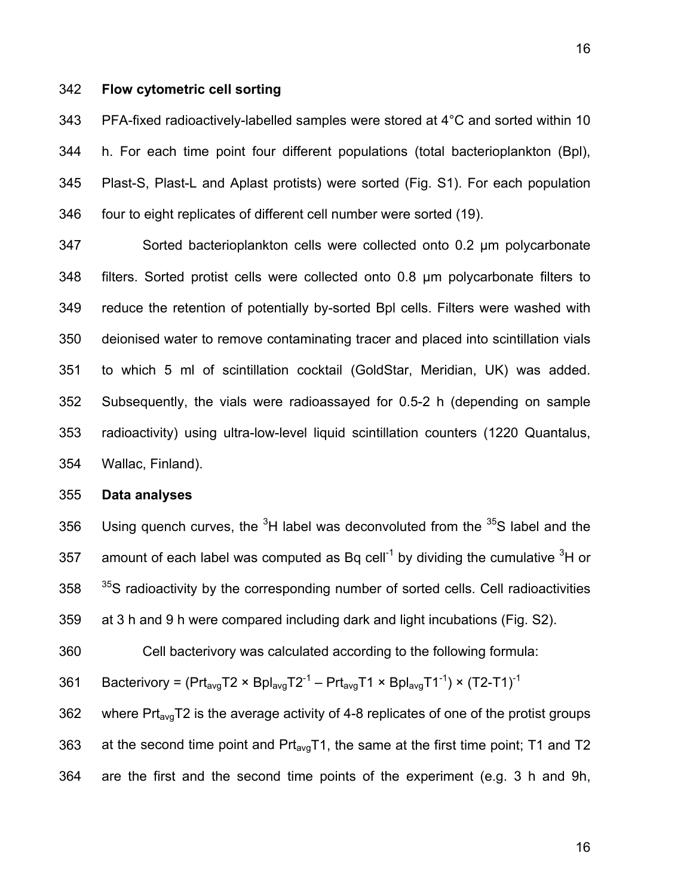# 342 **Flow cytometric cell sorting**

343 PFA-fixed radioactively-labelled samples were stored at 4°C and sorted within 10 344 h. For each time point four different populations (total bacterioplankton (Bpl), 345 Plast-S, Plast-L and Aplast protists) were sorted (Fig. S1). For each population 346 four to eight replicates of different cell number were sorted (19).

347 Sorted bacterioplankton cells were collected onto 0.2 µm polycarbonate 348 filters. Sorted protist cells were collected onto 0.8 µm polycarbonate filters to 349 reduce the retention of potentially by-sorted Bpl cells. Filters were washed with 350 deionised water to remove contaminating tracer and placed into scintillation vials 351 to which 5 ml of scintillation cocktail (GoldStar, Meridian, UK) was added. 352 Subsequently, the vials were radioassayed for 0.5-2 h (depending on sample 353 radioactivity) using ultra-low-level liquid scintillation counters (1220 Quantalus, 354 Wallac, Finland).

## 355 **Data analyses**

356 Using quench curves, the  ${}^{3}H$  label was deconvoluted from the  ${}^{35}S$  label and the 357 amount of each label was computed as Bq cell<sup>-1</sup> by dividing the cumulative  $3H$  or  $358$   $35$  radioactivity by the corresponding number of sorted cells. Cell radioactivities 359 at 3 h and 9 h were compared including dark and light incubations (Fig. S2).

360 Cell bacterivory was calculated according to the following formula:

361 Bacterivory =  $(Prt_{avg}T2 \times Bpl_{avg}T2^{-1} - Prt_{avg}T1 \times Bpl_{avg}T1^{-1}) \times (T2-T1)^{-1}$ 

362 where  $Pr_{avg}$ T2 is the average activity of 4-8 replicates of one of the protist groups 363 at the second time point and  $Pr_{avg}T1$ , the same at the first time point; T1 and T2 364 are the first and the second time points of the experiment (e.g. 3 h and 9h,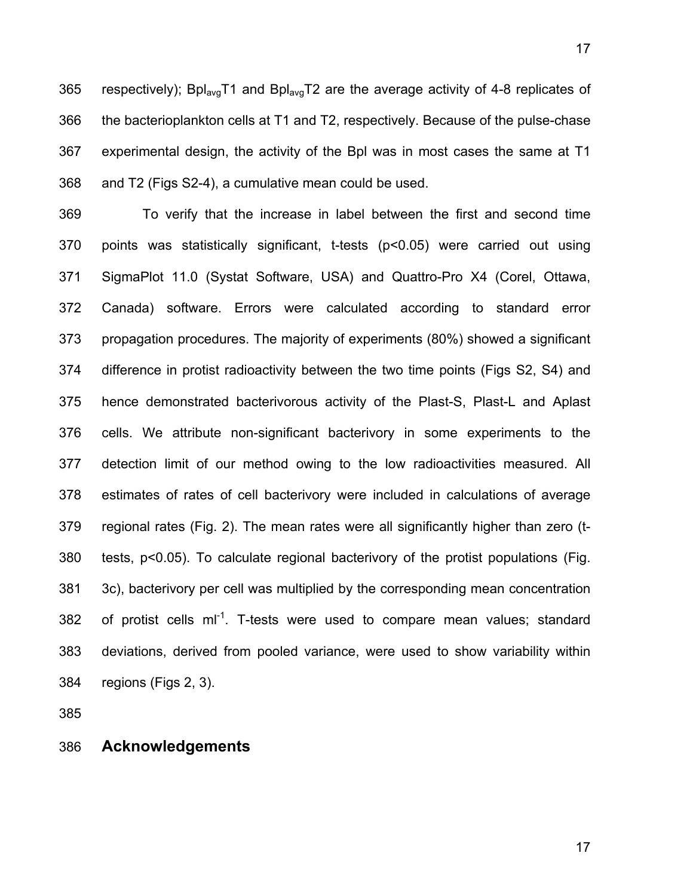365 respectively); Bpl<sub>avg</sub>T1 and Bpl<sub>avg</sub>T2 are the average activity of 4-8 replicates of 366 the bacterioplankton cells at T1 and T2, respectively. Because of the pulse-chase 367 experimental design, the activity of the Bpl was in most cases the same at T1 368 and T2 (Figs S2-4), a cumulative mean could be used.

369 To verify that the increase in label between the first and second time 370 points was statistically significant, t-tests (p<0.05) were carried out using 371 SigmaPlot 11.0 (Systat Software, USA) and Quattro-Pro X4 (Corel, Ottawa, 372 Canada) software. Errors were calculated according to standard error 373 propagation procedures. The majority of experiments (80%) showed a significant 374 difference in protist radioactivity between the two time points (Figs S2, S4) and 375 hence demonstrated bacterivorous activity of the Plast-S, Plast-L and Aplast 376 cells. We attribute non-significant bacterivory in some experiments to the 377 detection limit of our method owing to the low radioactivities measured. All 378 estimates of rates of cell bacterivory were included in calculations of average 379 regional rates (Fig. 2). The mean rates were all significantly higher than zero (t-380 tests, p<0.05). To calculate regional bacterivory of the protist populations (Fig. 381 3c), bacterivory per cell was multiplied by the corresponding mean concentration 382 of protist cells  $ml^{-1}$ . T-tests were used to compare mean values; standard 383 deviations, derived from pooled variance, were used to show variability within 384 regions (Figs 2, 3).

385

386 **Acknowledgements**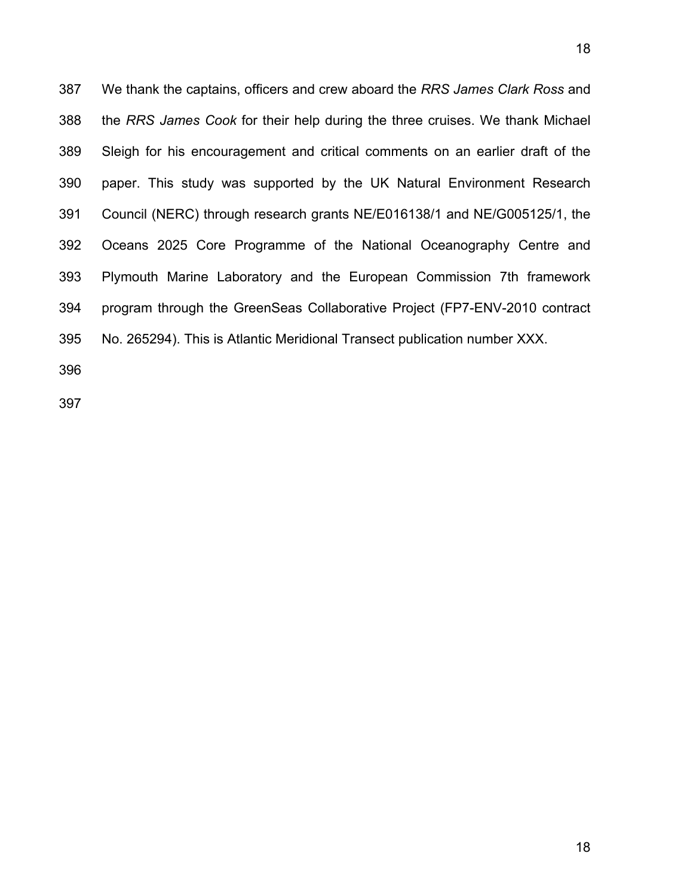387 We thank the captains, officers and crew aboard the *RRS James Clark Ross* and 388 the *RRS James Cook* for their help during the three cruises. We thank Michael 389 Sleigh for his encouragement and critical comments on an earlier draft of the 390 paper. This study was supported by the UK Natural Environment Research 391 Council (NERC) through research grants NE/E016138/1 and NE/G005125/1, the 392 Oceans 2025 Core Programme of the National Oceanography Centre and 393 Plymouth Marine Laboratory and the European Commission 7th framework 394 program through the GreenSeas Collaborative Project (FP7-ENV-2010 contract 395 No. 265294). This is Atlantic Meridional Transect publication number XXX.

396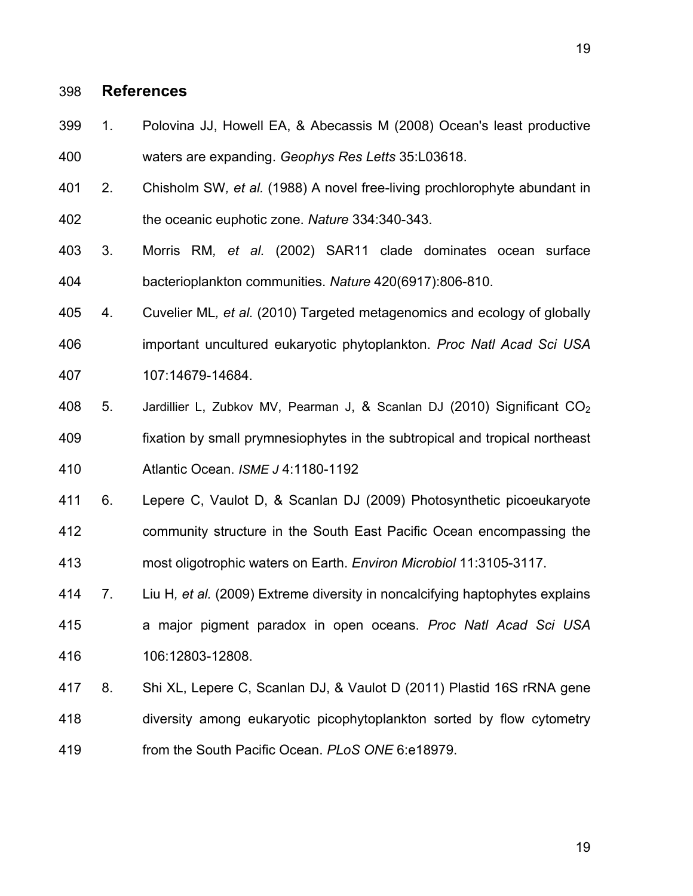# 398 **References**

- 399 1. Polovina JJ, Howell EA, & Abecassis M (2008) Ocean's least productive 400 waters are expanding. *Geophys Res Letts* 35:L03618.
- 401 2. Chisholm SW*, et al.* (1988) A novel free-living prochlorophyte abundant in 402 the oceanic euphotic zone. *Nature* 334:340-343.
- 403 3. Morris RM*, et al.* (2002) SAR11 clade dominates ocean surface 404 bacterioplankton communities. *Nature* 420(6917):806-810.
- 405 4. Cuvelier ML*, et al.* (2010) Targeted metagenomics and ecology of globally 406 important uncultured eukaryotic phytoplankton. *Proc Natl Acad Sci USA* 407 107:14679-14684.
- 408 5. Jardillier L, Zubkov MV, Pearman J, & Scanlan DJ (2010) Significant  $CO<sub>2</sub>$ 409 fixation by small prymnesiophytes in the subtropical and tropical northeast 410 Atlantic Ocean. *ISME J* 4:1180-1192
- 411 6. Lepere C, Vaulot D, & Scanlan DJ (2009) Photosynthetic picoeukaryote 412 community structure in the South East Pacific Ocean encompassing the 413 most oligotrophic waters on Earth. *Environ Microbiol* 11:3105-3117.
- 414 7. Liu H*, et al.* (2009) Extreme diversity in noncalcifying haptophytes explains 415 a major pigment paradox in open oceans. *Proc Natl Acad Sci USA* 416 106:12803-12808.
- 417 8. Shi XL, Lepere C, Scanlan DJ, & Vaulot D (2011) Plastid 16S rRNA gene 418 diversity among eukaryotic picophytoplankton sorted by flow cytometry 419 from the South Pacific Ocean. *PLoS ONE* 6:e18979.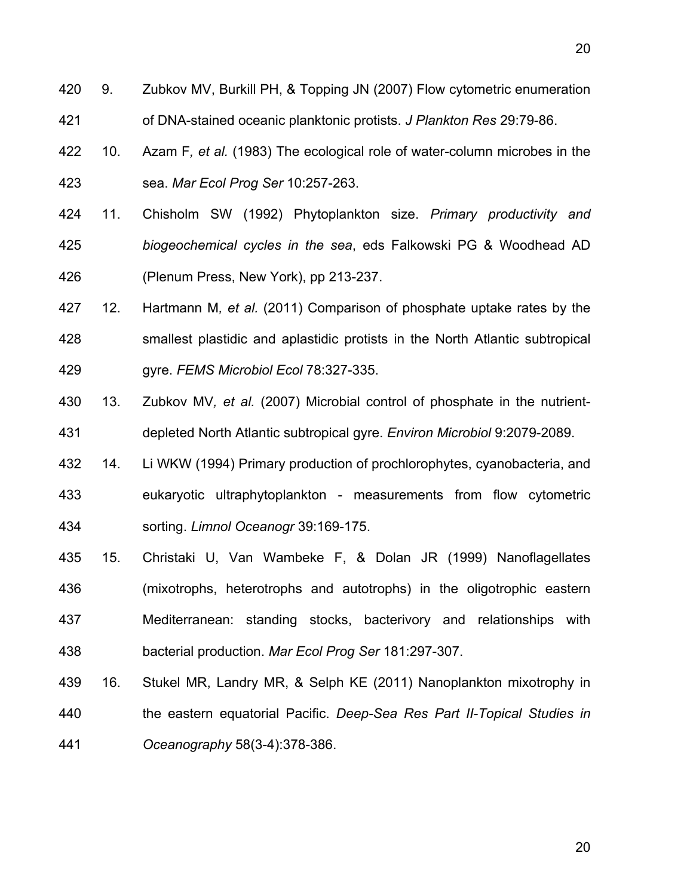- 420 9. Zubkov MV, Burkill PH, & Topping JN (2007) Flow cytometric enumeration 421 of DNA-stained oceanic planktonic protists. *J Plankton Res* 29:79-86.
- 422 10. Azam F*, et al.* (1983) The ecological role of water-column microbes in the 423 sea. *Mar Ecol Prog Ser* 10:257-263.
- 424 11. Chisholm SW (1992) Phytoplankton size. *Primary productivity and*  425 *biogeochemical cycles in the sea*, eds Falkowski PG & Woodhead AD 426 (Plenum Press, New York), pp 213-237.
- 427 12. Hartmann M*, et al.* (2011) Comparison of phosphate uptake rates by the 428 smallest plastidic and aplastidic protists in the North Atlantic subtropical 429 gyre. *FEMS Microbiol Ecol* 78:327-335.
- 430 13. Zubkov MV*, et al.* (2007) Microbial control of phosphate in the nutrient-431 depleted North Atlantic subtropical gyre. *Environ Microbiol* 9:2079-2089.
- 432 14. Li WKW (1994) Primary production of prochlorophytes, cyanobacteria, and 433 eukaryotic ultraphytoplankton - measurements from flow cytometric 434 sorting. *Limnol Oceanogr* 39:169-175.
- 435 15. Christaki U, Van Wambeke F, & Dolan JR (1999) Nanoflagellates 436 (mixotrophs, heterotrophs and autotrophs) in the oligotrophic eastern 437 Mediterranean: standing stocks, bacterivory and relationships with 438 bacterial production. *Mar Ecol Prog Ser* 181:297-307.
- 439 16. Stukel MR, Landry MR, & Selph KE (2011) Nanoplankton mixotrophy in 440 the eastern equatorial Pacific. *Deep-Sea Res Part II-Topical Studies in*  441 *Oceanography* 58(3-4):378-386.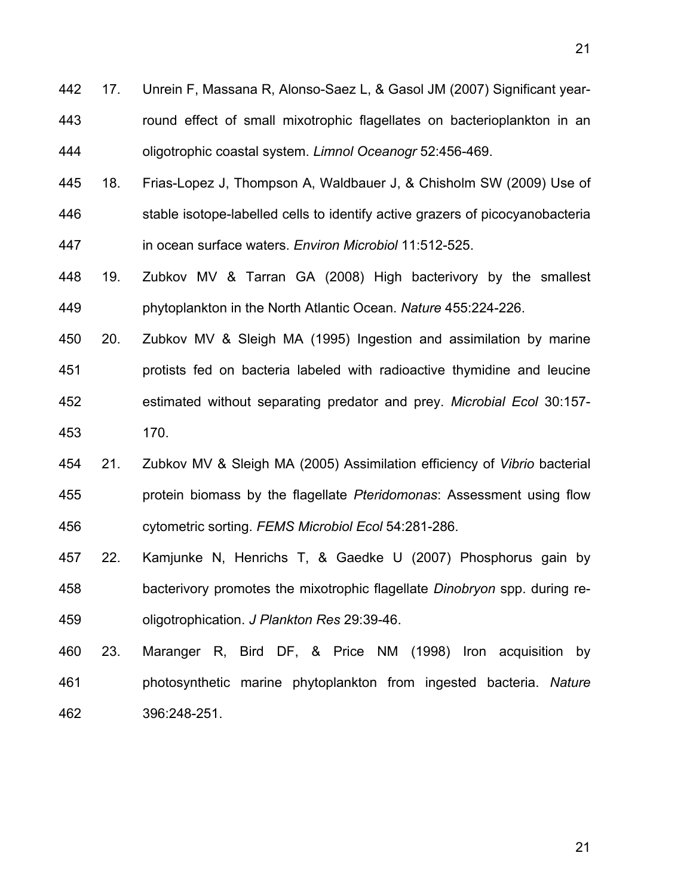- 442 17. Unrein F, Massana R, Alonso-Saez L, & Gasol JM (2007) Significant year-443 round effect of small mixotrophic flagellates on bacterioplankton in an 444 oligotrophic coastal system. *Limnol Oceanogr* 52:456-469.
- 445 18. Frias-Lopez J, Thompson A, Waldbauer J, & Chisholm SW (2009) Use of 446 stable isotope-labelled cells to identify active grazers of picocyanobacteria 447 in ocean surface waters. *Environ Microbiol* 11:512-525.
- 448 19. Zubkov MV & Tarran GA (2008) High bacterivory by the smallest 449 phytoplankton in the North Atlantic Ocean. *Nature* 455:224-226.
- 450 20. Zubkov MV & Sleigh MA (1995) Ingestion and assimilation by marine 451 protists fed on bacteria labeled with radioactive thymidine and leucine 452 estimated without separating predator and prey. *Microbial Ecol* 30:157- 453 170.
- 454 21. Zubkov MV & Sleigh MA (2005) Assimilation efficiency of *Vibrio* bacterial 455 protein biomass by the flagellate *Pteridomonas*: Assessment using flow 456 cytometric sorting. *FEMS Microbiol Ecol* 54:281-286.
- 457 22. Kamjunke N, Henrichs T, & Gaedke U (2007) Phosphorus gain by 458 bacterivory promotes the mixotrophic flagellate *Dinobryon* spp. during re-459 oligotrophication. *J Plankton Res* 29:39-46.
- 460 23. Maranger R, Bird DF, & Price NM (1998) Iron acquisition by 461 photosynthetic marine phytoplankton from ingested bacteria. *Nature* 462 396:248-251.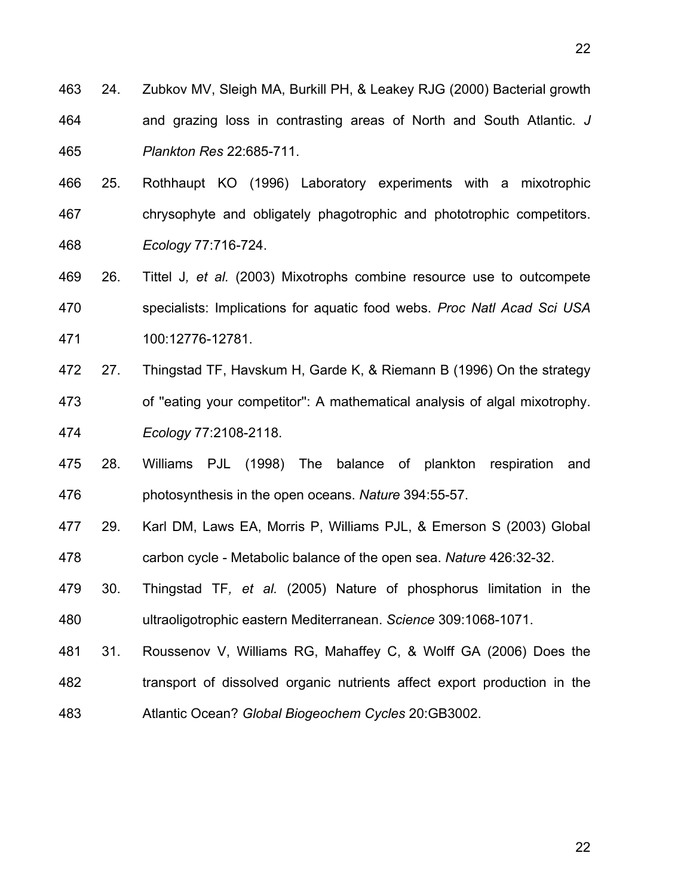- 463 24. Zubkov MV, Sleigh MA, Burkill PH, & Leakey RJG (2000) Bacterial growth 464 and grazing loss in contrasting areas of North and South Atlantic. *J*  465 *Plankton Res* 22:685-711.
- 466 25. Rothhaupt KO (1996) Laboratory experiments with a mixotrophic 467 chrysophyte and obligately phagotrophic and phototrophic competitors. 468 *Ecology* 77:716-724.
- 469 26. Tittel J*, et al.* (2003) Mixotrophs combine resource use to outcompete 470 specialists: Implications for aquatic food webs. *Proc Natl Acad Sci USA* 471 100:12776-12781.
- 472 27. Thingstad TF, Havskum H, Garde K, & Riemann B (1996) On the strategy 473 of ''eating your competitor'': A mathematical analysis of algal mixotrophy. 474 *Ecology* 77:2108-2118.
- 475 28. Williams PJL (1998) The balance of plankton respiration and 476 photosynthesis in the open oceans. *Nature* 394:55-57.
- 477 29. Karl DM, Laws EA, Morris P, Williams PJL, & Emerson S (2003) Global 478 carbon cycle - Metabolic balance of the open sea. *Nature* 426:32-32.
- 479 30. Thingstad TF*, et al.* (2005) Nature of phosphorus limitation in the 480 ultraoligotrophic eastern Mediterranean. *Science* 309:1068-1071.
- 481 31. Roussenov V, Williams RG, Mahaffey C, & Wolff GA (2006) Does the 482 transport of dissolved organic nutrients affect export production in the 483 Atlantic Ocean? *Global Biogeochem Cycles* 20:GB3002.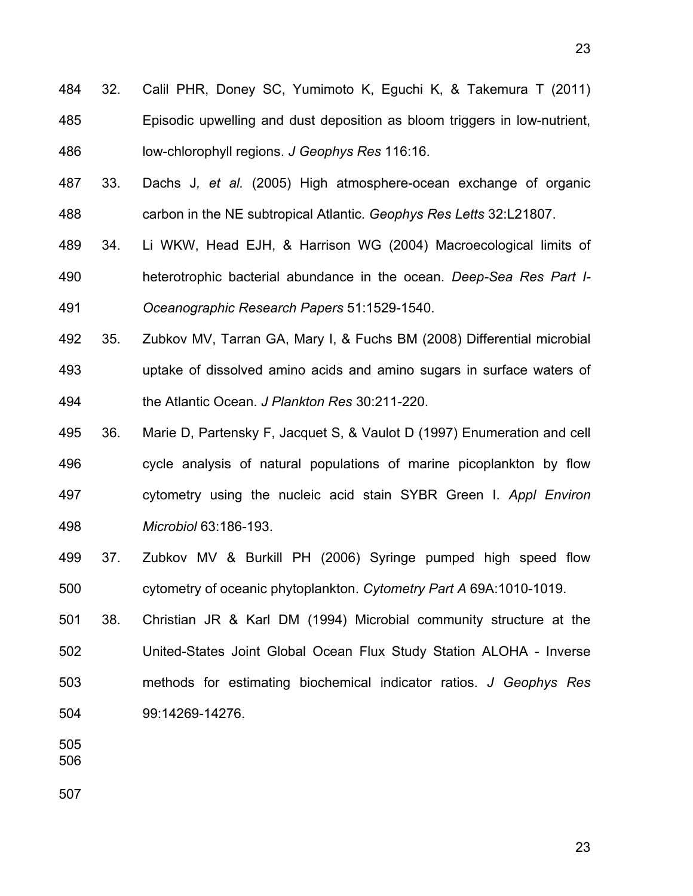- 484 32. Calil PHR, Doney SC, Yumimoto K, Eguchi K, & Takemura T (2011) 485 Episodic upwelling and dust deposition as bloom triggers in low-nutrient, 486 low-chlorophyll regions. *J Geophys Res* 116:16.
- 487 33. Dachs J*, et al.* (2005) High atmosphere-ocean exchange of organic 488 carbon in the NE subtropical Atlantic. *Geophys Res Letts* 32:L21807.
- 489 34. Li WKW, Head EJH, & Harrison WG (2004) Macroecological limits of 490 heterotrophic bacterial abundance in the ocean. *Deep-Sea Res Part I-*491 *Oceanographic Research Papers* 51:1529-1540.
- 492 35. Zubkov MV, Tarran GA, Mary I, & Fuchs BM (2008) Differential microbial 493 uptake of dissolved amino acids and amino sugars in surface waters of 494 the Atlantic Ocean. *J Plankton Res* 30:211-220.
- 495 36. Marie D, Partensky F, Jacquet S, & Vaulot D (1997) Enumeration and cell 496 cycle analysis of natural populations of marine picoplankton by flow 497 cytometry using the nucleic acid stain SYBR Green I. *Appl Environ*  498 *Microbiol* 63:186-193.
- 499 37. Zubkov MV & Burkill PH (2006) Syringe pumped high speed flow 500 cytometry of oceanic phytoplankton. *Cytometry Part A* 69A:1010-1019.
- 501 38. Christian JR & Karl DM (1994) Microbial community structure at the 502 United-States Joint Global Ocean Flux Study Station ALOHA - Inverse 503 methods for estimating biochemical indicator ratios. *J Geophys Res* 504 99:14269-14276.

505

506

507

23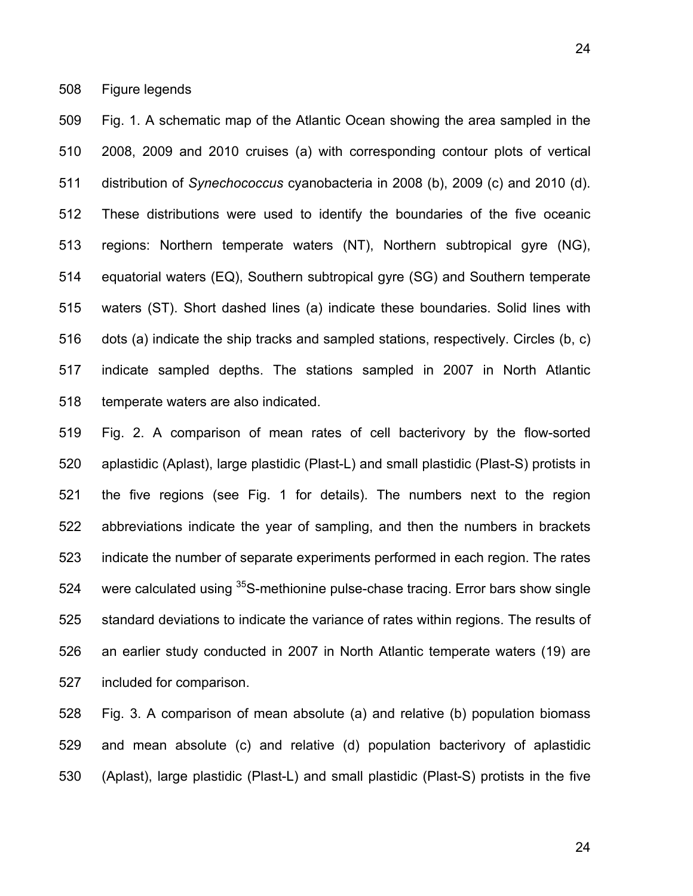508 Figure legends

509 Fig. 1. A schematic map of the Atlantic Ocean showing the area sampled in the 510 2008, 2009 and 2010 cruises (a) with corresponding contour plots of vertical 511 distribution of *Synechococcus* cyanobacteria in 2008 (b), 2009 (c) and 2010 (d). 512 These distributions were used to identify the boundaries of the five oceanic 513 regions: Northern temperate waters (NT), Northern subtropical gyre (NG), 514 equatorial waters (EQ), Southern subtropical gyre (SG) and Southern temperate 515 waters (ST). Short dashed lines (a) indicate these boundaries. Solid lines with 516 dots (a) indicate the ship tracks and sampled stations, respectively. Circles (b, c) 517 indicate sampled depths. The stations sampled in 2007 in North Atlantic 518 temperate waters are also indicated.

519 Fig. 2. A comparison of mean rates of cell bacterivory by the flow-sorted 520 aplastidic (Aplast), large plastidic (Plast-L) and small plastidic (Plast-S) protists in 521 the five regions (see Fig. 1 for details). The numbers next to the region 522 abbreviations indicate the year of sampling, and then the numbers in brackets 523 indicate the number of separate experiments performed in each region. The rates 524 were calculated using  $35S$ -methionine pulse-chase tracing. Error bars show single 525 standard deviations to indicate the variance of rates within regions. The results of 526 an earlier study conducted in 2007 in North Atlantic temperate waters (19) are 527 included for comparison.

528 Fig. 3. A comparison of mean absolute (a) and relative (b) population biomass 529 and mean absolute (c) and relative (d) population bacterivory of aplastidic 530 (Aplast), large plastidic (Plast-L) and small plastidic (Plast-S) protists in the five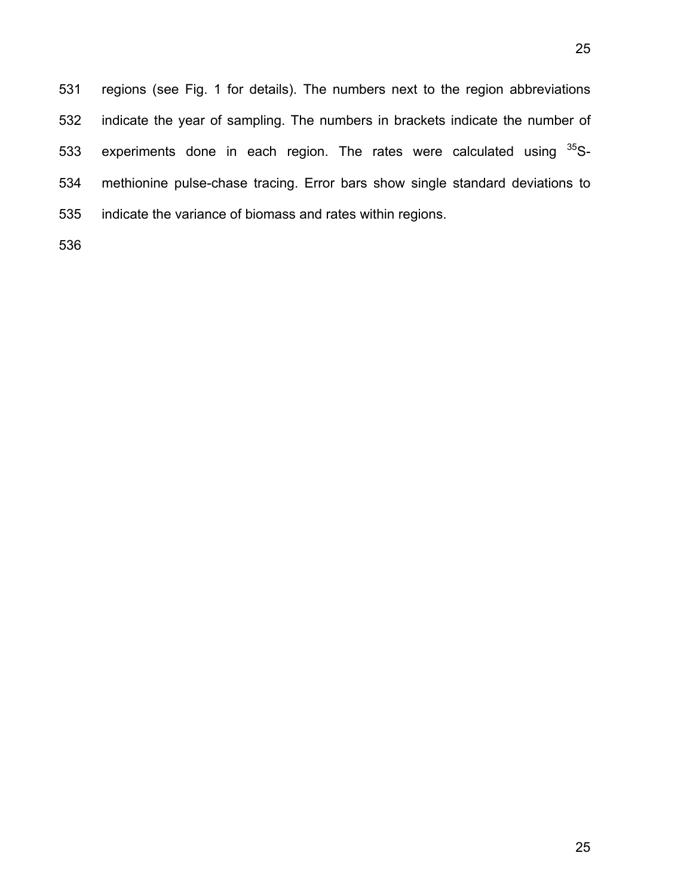531 regions (see Fig. 1 for details). The numbers next to the region abbreviations 532 indicate the year of sampling. The numbers in brackets indicate the number of 533 experiments done in each region. The rates were calculated using  $35S-$ 534 methionine pulse-chase tracing. Error bars show single standard deviations to 535 indicate the variance of biomass and rates within regions.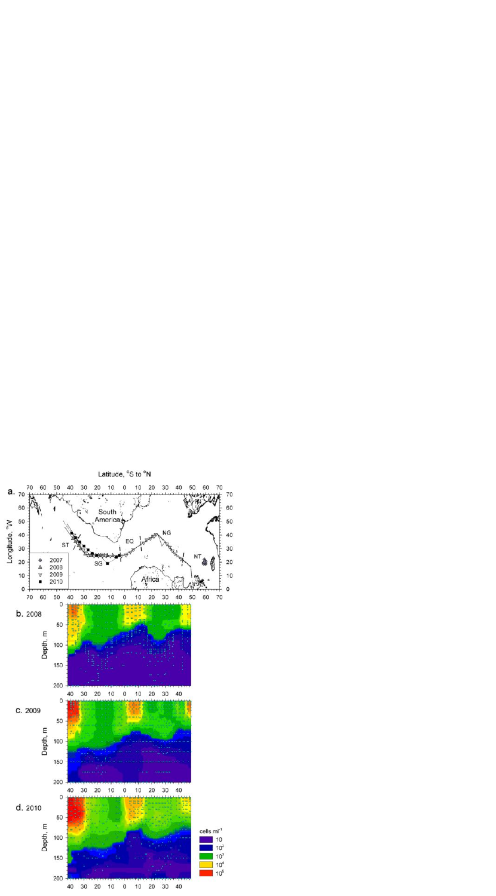

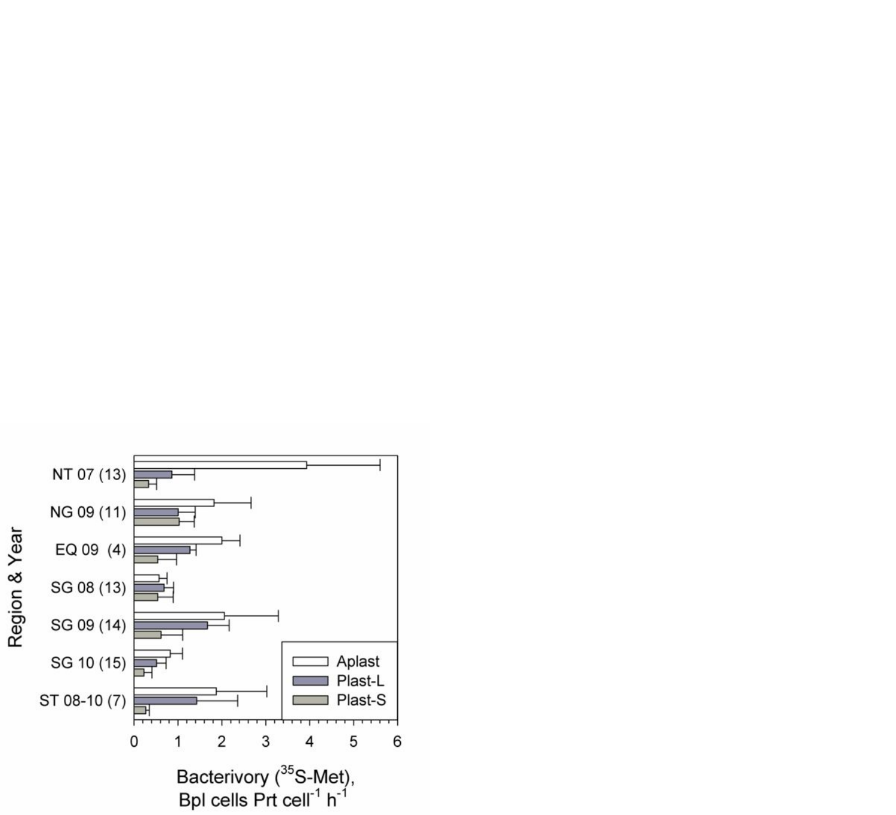

Region & Year